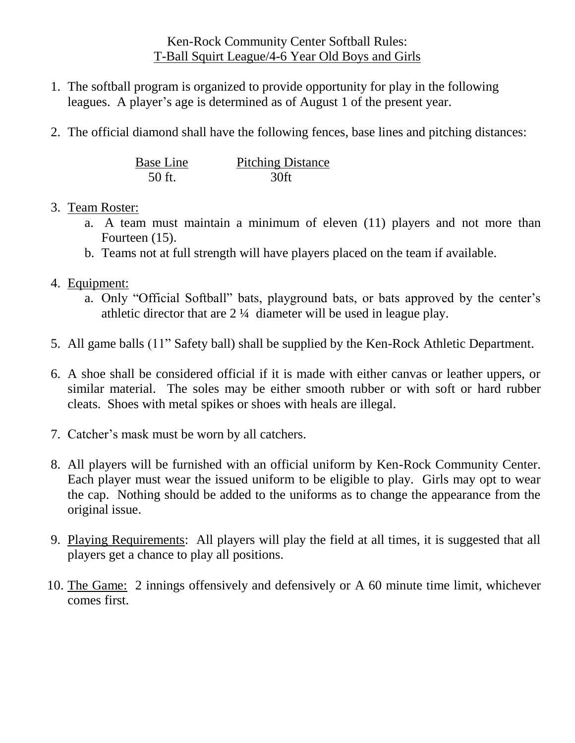## Ken-Rock Community Center Softball Rules: T-Ball Squirt League/4-6 Year Old Boys and Girls

- 1. The softball program is organized to provide opportunity for play in the following leagues. A player's age is determined as of August 1 of the present year.
- 2. The official diamond shall have the following fences, base lines and pitching distances:

| <b>Base Line</b> | <b>Pitching Distance</b> |
|------------------|--------------------------|
| 50 ft.           | 30ft                     |

## 3. Team Roster:

- a. A team must maintain a minimum of eleven (11) players and not more than Fourteen (15).
- b. Teams not at full strength will have players placed on the team if available.

## 4. Equipment:

- a. Only "Official Softball" bats, playground bats, or bats approved by the center's athletic director that are 2 ¼ diameter will be used in league play.
- 5. All game balls (11" Safety ball) shall be supplied by the Ken-Rock Athletic Department.
- 6. A shoe shall be considered official if it is made with either canvas or leather uppers, or similar material. The soles may be either smooth rubber or with soft or hard rubber cleats. Shoes with metal spikes or shoes with heals are illegal.
- 7. Catcher's mask must be worn by all catchers.
- 8. All players will be furnished with an official uniform by Ken-Rock Community Center. Each player must wear the issued uniform to be eligible to play. Girls may opt to wear the cap. Nothing should be added to the uniforms as to change the appearance from the original issue.
- 9. Playing Requirements: All players will play the field at all times, it is suggested that all players get a chance to play all positions.
- 10. The Game: 2 innings offensively and defensively or A 60 minute time limit, whichever comes first.